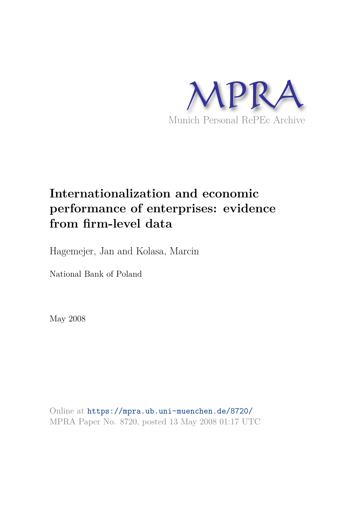

# **Internationalization and economic performance of enterprises: evidence from firm-level data**

Hagemejer, Jan and Kolasa, Marcin

National Bank of Poland

May 2008

Online at https://mpra.ub.uni-muenchen.de/8720/ MPRA Paper No. 8720, posted 13 May 2008 01:17 UTC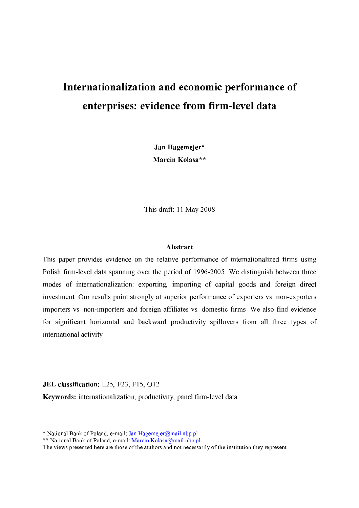# Internationalization and economic performance of enterprises: evidence from firm-level data

Jan Hagemejer\* Marcin Kolasa\*\*

This draft: 11 May 2008

#### **Abstract**

This paper provides evidence on the relative performance of internationalized firms using Polish firm-level data spanning over the period of 1996-2005. We distinguish between three modes of internationalization: exporting, importing of capital goods and foreign direct investment. Our results point strongly at superior performance of exporters vs. non-exporters importers vs. non-importers and foreign affiliates vs. domestic firms. We also find evidence for significant horizontal and backward productivity spillovers from all three types of international activity.

#### JEL classification: L25, F23, F15, O12

Keywords: internationalization, productivity, panel firm-level data

\* National Bank of Poland, e-mail: Jan. Hagemeier@mail.nbp.pl

\*\* National Bank of Poland, e-mail: Marcin.Kolasa@mail.nbp.pl

The views presented here are those of the authors and not necessarily of the institution they represent.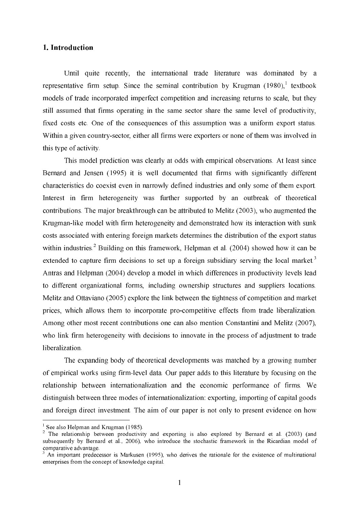## 1. Introduction

Until quite recently, the international trade literature was dominated by a representative firm setup. Since the seminal contribution by Krugman  $(1980)$ , textbook models of trade incorporated imperfect competition and increasing returns to scale, but they still assumed that firms operating in the same sector share the same level of productivity, fixed costs etc. One of the consequences of this assumption was a uniform export status. Within a given country-sector, either all firms were exporters or none of them was involved in this type of activity.

This model prediction was clearly at odds with empirical observations. At least since Bernard and Jensen (1995) it is well documented that firms with significantly different characteristics do coexist even in narrowly defined industries and only some of them export. Interest in firm heterogeneity was further supported by an outbreak of theoretical contributions. The major breakthrough can be attributed to Melitz (2003), who augmented the Krugman-like model with firm heterogeneity and demonstrated how its interaction with sunk costs associated with entering foreign markets determines the distribution of the export status within industries.<sup>2</sup> Building on this framework, Helpman et al. (2004) showed how it can be extended to capture firm decisions to set up a foreign subsidiary serving the local market.<sup>3</sup> Antras and Helpman (2004) develop a model in which differences in productivity levels lead to different organizational forms, including ownership structures and suppliers locations. Melitz and Ottaviano (2005) explore the link between the tightness of competition and market prices, which allows them to incorporate pro-competitive effects from trade liberalization. Among other most recent contributions one can also mention Constantini and Melitz (2007), who link firm heterogeneity with decisions to innovate in the process of adjustment to trade liberalization.

The expanding body of theoretical developments was matched by a growing number of empirical works using firm-level data. Our paper adds to this literature by focusing on the relationship between internationalization and the economic performance of firms. We distinguish between three modes of internationalization: exporting, importing of capital goods and foreign direct investment. The aim of our paper is not only to present evidence on how

 $1$  See also Helpman and Krugman (1985).

<sup>&</sup>lt;sup>2</sup> The relationship between productivity and exporting is also explored by Bernard et al. (2003) (and subsequently by Bernard et al., 2006), who introduce the stochastic framework in the Ricardian model of comparative advantage.

 $3$  An important predecessor is Markusen (1995), who derives the rationale for the existence of multinational enterprises from the concept of knowledge capital.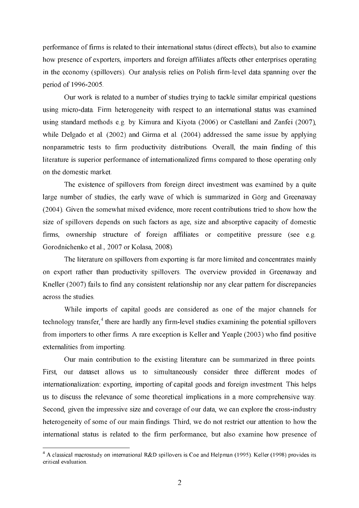performance of firms is related to their international status (direct effects), but also to examine how presence of exporters, importers and foreign affiliates affects other enterprises operating in the economy (spillovers). Our analysis relies on Polish firm-level data spanning over the period of 1996-2005.

Our work is related to a number of studies trying to tackle similar empirical questions using micro-data. Firm heterogeneity with respect to an international status was examined using standard methods e.g. by Kimura and Kiyota (2006) or Castellani and Zanfei (2007), while Delgado et al. (2002) and Girma et al. (2004) addressed the same issue by applying nonparametric tests to firm productivity distributions. Overall, the main finding of this literature is superior performance of internationalized firms compared to those operating only on the domestic market.

The existence of spillovers from foreign direct investment was examined by a quite large number of studies, the early wave of which is summarized in Görg and Greenaway (2004). Given the somewhat mixed evidence, more recent contributions tried to show how the size of spillovers depends on such factors as age, size and absorptive capacity of domestic firms, ownership structure of foreign affiliates or competitive pressure (see e.g. Gorodnichenko et al., 2007 or Kolasa, 2008).

The literature on spillovers from exporting is far more limited and concentrates mainly on export rather than productivity spillovers. The overview provided in Greenaway and Kneller (2007) fails to find any consistent relationship nor any clear pattern for discrepancies across the studies

While imports of capital goods are considered as one of the major channels for technology transfer,<sup>4</sup> there are hardly any firm-level studies examining the potential spillovers from importers to other firms. A rare exception is Keller and Yeaple (2003) who find positive externalities from importing.

Our main contribution to the existing literature can be summarized in three points. our dataset allows us to simultaneously consider three different modes of First. internationalization: exporting, importing of capital goods and foreign investment. This helps us to discuss the relevance of some theoretical implications in a more comprehensive way. Second, given the impressive size and coverage of our data, we can explore the cross-industry heterogeneity of some of our main findings. Third, we do not restrict our attention to how the international status is related to the firm performance, but also examine how presence of

 $4$  A classical macrostudy on international R&D spillovers is Coe and Helpman (1995). Keller (1998) provides its critical evaluation.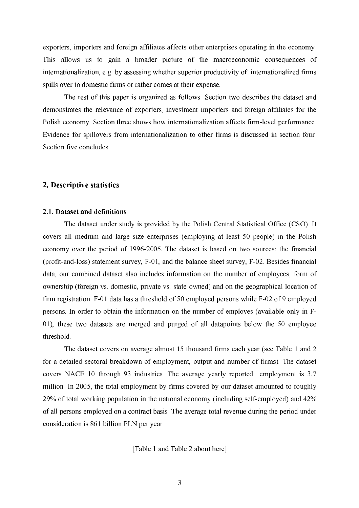exporters, importers and foreign affiliates affects other enterprises operating in the economy. This allows us to gain a broader picture of the macroeconomic consequences of internationalization, e.g. by assessing whether superior productivity of internationalized firms spills over to domestic firms or rather comes at their expense.

The rest of this paper is organized as follows. Section two describes the dataset and demonstrates the relevance of exporters, investment importers and foreign affiliates for the Polish economy. Section three shows how internationalization affects firm-level performance. Evidence for spillovers from internationalization to other firms is discussed in section four. Section five concludes.

## 2. Descriptive statistics

#### 2.1. Dataset and definitions

The dataset under study is provided by the Polish Central Statistical Office (CSO). It covers all medium and large size enterprises (employing at least 50 people) in the Polish economy over the period of 1996-2005. The dataset is based on two sources: the financial (profit-and-loss) statement survey, F-01, and the balance sheet survey, F-02. Besides financial data, our combined dataset also includes information on the number of employees, form of ownership (foreign vs. domestic, private vs. state-owned) and on the geographical location of firm registration. F-01 data has a threshold of 50 employed persons while F-02 of 9 employed persons. In order to obtain the information on the number of employes (available only in F-01), these two datasets are merged and purged of all datapoints below the 50 employee threshold.

The dataset covers on average almost 15 thousand firms each year (see Table 1 and 2) for a detailed sectoral breakdown of employment, output and number of firms). The dataset covers NACE 10 through 93 industries. The average yearly reported employment is 3.7 million. In 2005, the total employment by firms covered by our dataset amounted to roughly 29% of total working population in the national economy (including self-employed) and 42% of all persons employed on a contract basis. The average total revenue during the period under consideration is 861 billion PLN per year.

[Table 1 and Table 2 about here]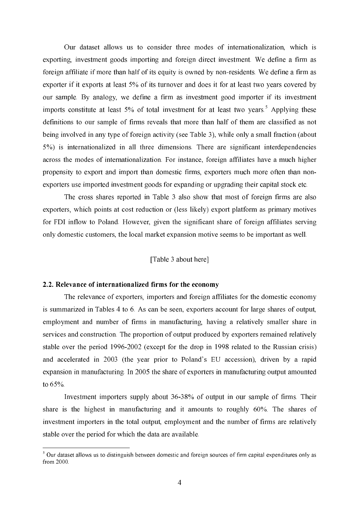Our dataset allows us to consider three modes of internationalization, which is exporting, investment goods importing and foreign direct investment. We define a firm as foreign affiliate if more than half of its equity is owned by non-residents. We define a firm as exporter if it exports at least 5% of its turnover and does it for at least two years covered by our sample. By analogy, we define a firm as investment good importer if its investment imports constitute at least 5% of total investment for at least two years.<sup>5</sup> Applying these definitions to our sample of firms reveals that more than half of them are classified as not being involved in any type of foreign activity (see Table 3), while only a small fraction (about 5%) is internationalized in all three dimensions. There are significant interdependencies across the modes of internationalization. For instance, foreign affiliates have a much higher propensity to export and import than domestic firms, exporters much more often than nonexporters use imported investment goods for expanding or upgrading their capital stock etc.

The cross shares reported in Table 3 also show that most of foreign firms are also exporters, which points at cost reduction or (less likely) export platform as primary motives for FDI inflow to Poland. However, given the significant share of foreign affiliates serving only domestic customers, the local market expansion motive seems to be important as well.

#### [Table 3 about here]

#### 2.2. Relevance of internationalized firms for the economy

The relevance of exporters, importers and foreign affiliates for the domestic economy is summarized in Tables 4 to 6. As can be seen, exporters account for large shares of output, employment and number of firms in manufacturing, having a relatively smaller share in services and construction. The proportion of output produced by exporters remained relatively stable over the period 1996-2002 (except for the drop in 1998 related to the Russian crisis) and accelerated in 2003 (the year prior to Poland's EU accession), driven by a rapid expansion in manufacturing. In 2005 the share of exporters in manufacturing output amounted to  $65%$ .

Investment importers supply about 36-38% of output in our sample of firms. Their share is the highest in manufacturing and it amounts to roughly 60%. The shares of investment importers in the total output, employment and the number of firms are relatively stable over the period for which the data are available.

<sup>&</sup>lt;sup>5</sup> Our dataset allows us to distinguish between domestic and foreign sources of firm capital expenditures only as from  $2000$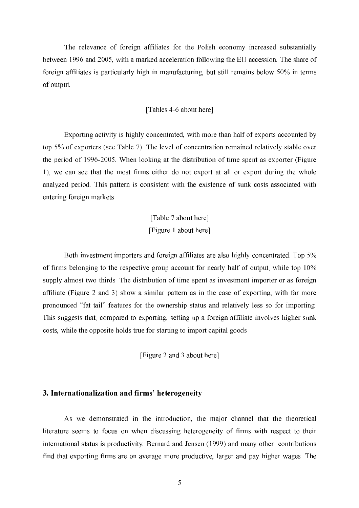The relevance of foreign affiliates for the Polish economy increased substantially between 1996 and 2005, with a marked acceleration following the EU accession. The share of foreign affiliates is particularly high in manufacturing, but still remains below 50% in terms of output.

## [Tables 4-6 about here]

Exporting activity is highly concentrated, with more than half of exports accounted by top 5% of exporters (see Table 7). The level of concentration remained relatively stable over the period of 1996-2005. When looking at the distribution of time spent as exporter (Figure 1), we can see that the most firms either do not export at all or export during the whole analyzed period. This pattern is consistent with the existence of sunk costs associated with entering foreign markets.

> [Table 7 about here] [Figure 1 about here]

Both investment importers and foreign affiliates are also highly concentrated. Top 5% of firms belonging to the respective group account for nearly half of output, while top 10% supply almost two thirds. The distribution of time spent as investment importer or as foreign affiliate (Figure 2 and 3) show a similar pattern as in the case of exporting, with far more pronounced "fat tail" features for the ownership status and relatively less so for importing. This suggests that, compared to exporting, setting up a foreign affiliate involves higher sunk costs, while the opposite holds true for starting to import capital goods.

[Figure 2 and 3 about here]

## 3. Internationalization and firms' heterogeneity

As we demonstrated in the introduction, the major channel that the theoretical literature seems to focus on when discussing heterogeneity of firms with respect to their international status is productivity. Bernard and Jensen (1999) and many other contributions find that exporting firms are on average more productive, larger and pay higher wages. The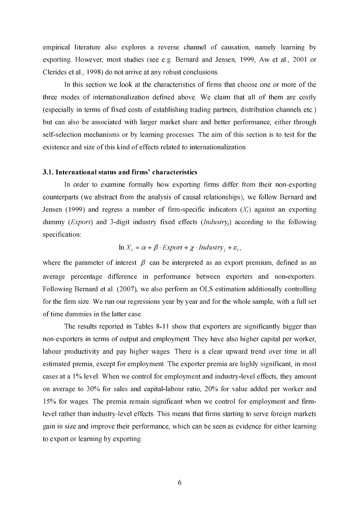empirical literature also explores a reverse channel of causation, namely learning by exporting. However, most studies (see e.g. Bernard and Jensen, 1999, Aw et al., 2001 or Clerides et al., 1998) do not arrive at any robust conclusions.

In this section we look at the characteristics of firms that choose one or more of the three modes of internationalization defined above. We claim that all of them are costly (especially in terms of fixed costs of establishing trading partners, distribution channels etc.) but can also be associated with larger market share and better performance, either through self-selection mechanisms or by learning processes. The aim of this section is to test for the existence and size of this kind of effects related to internationalization.

#### 3.1. International status and firms' characteristics

In order to examine formally how exporting firms differ from their non-exporting counterparts (we abstract from the analysis of causal relationships), we follow Bernard and Jensen (1999) and regress a number of firm-specific indicators  $(X_i)$  against an exporting dummy (*Export*) and 3-digit industry fixed effects (*Industry<sub>i</sub>*) according to the following specification:

$$
\ln X_i = \alpha + \beta \cdot \text{Export} + \chi \cdot \text{Industry}_i + \varepsilon_i,
$$

where the parameter of interest  $\beta$  can be interpreted as an export premium, defined as an average percentage difference in performance between exporters and non-exporters. Following Bernard et al. (2007), we also perform an OLS estimation additionally controlling for the firm size. We run our regressions year by year and for the whole sample, with a full set of time dummies in the latter case.

The results reported in Tables 8-11 show that exporters are significantly bigger than non-exporters in terms of output and employment. They have also higher capital per worker, labour productivity and pay higher wages. There is a clear upward trend over time in all estimated premia, except for employment. The exporter premia are highly significant, in most cases at a 1% level. When we control for employment and industry-level effects, they amount on average to 30% for sales and capital-labour ratio, 20% for value added per worker and 15% for wages. The premia remain significant when we control for employment and firmlevel rather than industry-level effects. This means that firms starting to serve foreign markets gain in size and improve their performance, which can be seen as evidence for either learning to export or learning by exporting.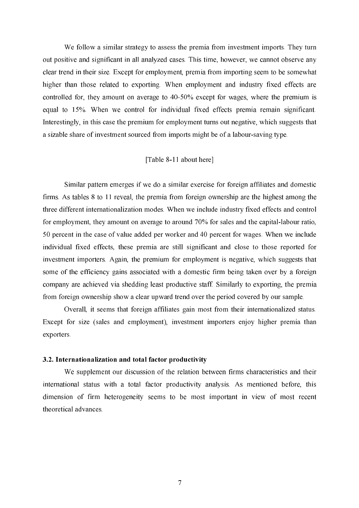We follow a similar strategy to assess the premia from investment imports. They turn out positive and significant in all analyzed cases. This time, however, we cannot observe any clear trend in their size. Except for employment, premia from importing seem to be somewhat higher than those related to exporting. When employment and industry fixed effects are controlled for, they amount on average to 40-50% except for wages, where the premium is equal to 15%. When we control for individual fixed effects premia remain significant. Interestingly, in this case the premium for employment turns out negative, which suggests that a sizable share of investment sourced from imports might be of a labour-saving type.

#### [Table 8-11 about here]

Similar pattern emerges if we do a similar exercise for foreign affiliates and domestic firms. As tables 8 to 11 reveal, the premia from foreign ownership are the highest among the three different internationalization modes. When we include industry fixed effects and control for employment, they amount on average to around 70% for sales and the capital-labour ratio, 50 percent in the case of value added per worker and 40 percent for wages. When we include individual fixed effects, these premia are still significant and close to those reported for investment importers. Again, the premium for employment is negative, which suggests that some of the efficiency gains associated with a domestic firm being taken over by a foreign company are achieved via shedding least productive staff. Similarly to exporting, the premia from foreign ownership show a clear upward trend over the period covered by our sample.

Overall, it seems that foreign affiliates gain most from their internationalized status. Except for size (sales and employment), investment importers enjoy higher premia than exporters.

## 3.2. Internationalization and total factor productivity

We supplement our discussion of the relation between firms characteristics and their international status with a total factor productivity analysis. As mentioned before, this dimension of firm heterogeneity seems to be most important in view of most recent theoretical advances.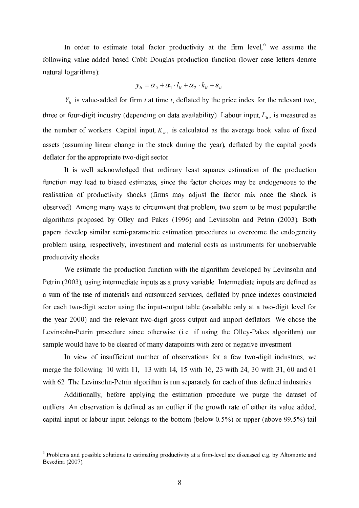In order to estimate total factor productivity at the firm level,<sup>6</sup> we assume the following value-added based Cobb-Douglas production function (lower case letters denote natural logarithms):

$$
y_{it} = \alpha_0 + \alpha_1 \cdot l_{it} + \alpha_2 \cdot k_{it} + \varepsilon_{it}
$$

 $Y_{it}$  is value-added for firm *i* at time *t*, deflated by the price index for the relevant two, three or four-digit industry (depending on data availability). Labour input,  $L_{ii}$ , is measured as the number of workers. Capital input,  $K_{ij}$ , is calculated as the average book value of fixed assets (assuming linear change in the stock during the year), deflated by the capital goods deflator for the appropriate two-digit sector.

It is well acknowledged that ordinary least squares estimation of the production function may lead to biased estimates, since the factor choices may be endogeneous to the realisation of productivity shocks (firms may adjust the factor mix once the shock is observed). Among many ways to circumvent that problem, two seem to be most popular: the algorithms proposed by Olley and Pakes (1996) and Levinsohn and Petrin (2003). Both papers develop similar semi-parametric estimation procedures to overcome the endogeneity problem using, respectively, investment and material costs as instruments for unobservable productivity shocks.

We estimate the production function with the algorithm developed by Levinsohn and Petrin (2003), using intermediate inputs as a proxy variable. Intermediate inputs are defined as a sum of the use of materials and outsourced services, deflated by price indexes constructed for each two-digit sector using the input-output table (available only at a two-digit level for the year 2000) and the relevant two-digit gross output and import deflators. We chose the Levinsohn-Petrin procedure since otherwise (i.e. if using the Olley-Pakes algorithm) our sample would have to be cleared of many datapoints with zero or negative investment.

In view of insufficient number of observations for a few two-digit industries, we merge the following: 10 with 11, 13 with 14, 15 with 16, 23 with 24, 30 with 31, 60 and 61 with 62. The Levinsohn-Petrin algorithm is run separately for each of thus defined industries.

Additionally, before applying the estimation procedure we purge the dataset of outliers. An observation is defined as an outlier if the growth rate of either its value added, capital input or labour input belongs to the bottom (below  $0.5\%$ ) or upper (above 99.5%) tail

<sup>&</sup>lt;sup>6</sup> Problems and possible solutions to estimating productivity at a firm-level are discussed e.g. by Altomonte and Besedina (2007).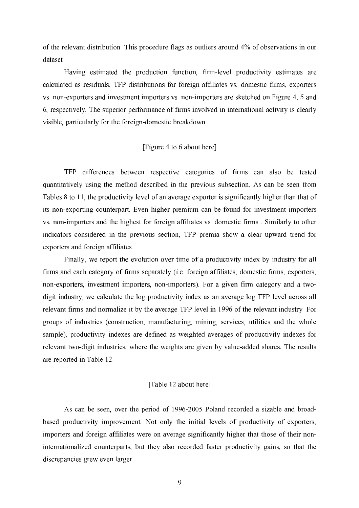of the relevant distribution. This procedure flags as outliers around 4% of observations in our dataset

Having estimated the production function, firm-level productivity estimates are calculated as residuals. TFP distributions for foreign affiliates vs. domestic firms, exporters vs. non-exporters and investment importers vs. non-importers are sketched on Figure 4, 5 and 6, respectively. The superior performance of firms involved in international activity is clearly visible, particularly for the foreign-domestic breakdown.

#### [Figure 4 to 6 about here]

TFP differences between respective categories of firms can also be tested quantitatively using the method described in the previous subsection. As can be seen from Tables 8 to 11, the productivity level of an average exporter is significantly higher than that of its non-exporting counterpart. Even higher premium can be found for investment importers vs. non-importers and the highest for foreign affiliates vs. domestic firms. Similarly to other indicators considered in the previous section, TFP premia show a clear upward trend for exporters and foreign affiliates.

Finally, we report the evolution over time of a productivity index by industry for all firms and each category of firms separately (*i.e.* foreign affiliates, domestic firms, exporters, non-exporters, investment importers, non-importers). For a given firm category and a twodigit industry, we calculate the log productivity index as an average log TFP level across all relevant firms and normalize it by the average TFP level in 1996 of the relevant industry. For groups of industries (construction, manufacturing, mining, services, utilities and the whole sample), productivity indexes are defined as weighted averages of productivity indexes for relevant two-digit industries, where the weights are given by value-added shares. The results are reported in Table 12.

#### [Table 12 about here]

As can be seen, over the period of 1996-2005 Poland recorded a sizable and broadbased productivity improvement. Not only the initial levels of productivity of exporters, importers and foreign affiliates were on average significantly higher that those of their noninternationalized counterparts, but they also recorded faster productivity gains, so that the discrepancies grew even larger.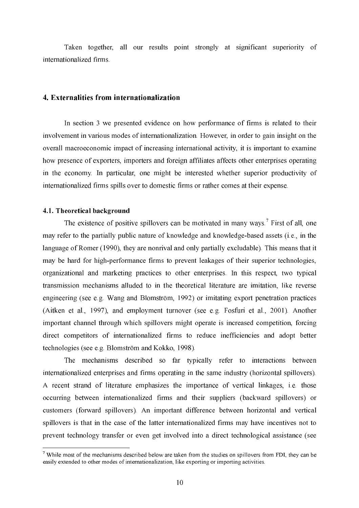Taken together, all our results point strongly at significant superiority of internationalized firms.

#### 4. Externalities from internationalization

In section 3 we presented evidence on how performance of firms is related to their involvement in various modes of internationalization. However, in order to gain insight on the overall macroeconomic impact of increasing international activity, it is important to examine how presence of exporters, importers and foreign affiliates affects other enterprises operating in the economy. In particular, one might be interested whether superior productivity of internationalized firms spills over to domestic firms or rather comes at their expense.

#### 4.1. Theoretical background

The existence of positive spillovers can be motivated in many ways.<sup>7</sup> First of all, one may refer to the partially public nature of knowledge and knowledge-based assets (i.e., in the language of Romer (1990), they are nonrival and only partially excludable). This means that it may be hard for high-performance firms to prevent leakages of their superior technologies, organizational and marketing practices to other enterprises. In this respect, two typical transmission mechanisms alluded to in the theoretical literature are imitation, like reverse engineering (see e.g. Wang and Blomström, 1992) or imitating export penetration practices (Aitken et al., 1997), and employment turnover (see e.g. Fosfuri et al., 2001). Another important channel through which spillovers might operate is increased competition, forcing direct competitors of internationalized firms to reduce inefficiencies and adopt better technologies (see e.g. Blomström and Kokko, 1998).

The mechanisms described so far typically refer to interactions between internationalized enterprises and firms operating in the same industry (horizontal spillovers). A recent strand of literature emphasizes the importance of vertical linkages, i.e. those occurring between internationalized firms and their suppliers (backward spillovers) or customers (forward spillovers). An important difference between horizontal and vertical spillovers is that in the case of the latter internationalized firms may have incentives not to prevent technology transfer or even get involved into a direct technological assistance (see

 $\frac{7}{1}$  While most of the mechanisms described below are taken from the studies on spillovers from FDI, they can be easily extended to other modes of internationalization, like exporting or importing activities.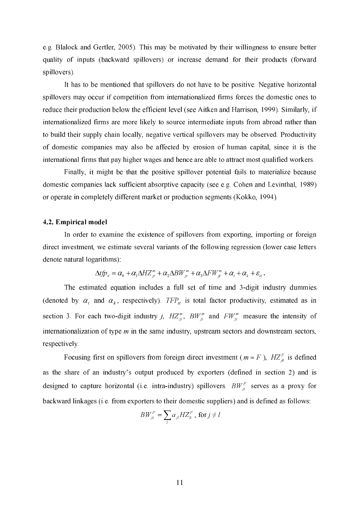e.g. Blalock and Gertler, 2005). This may be motivated by their willingness to ensure better quality of inputs (backward spillovers) or increase demand for their products (forward spillovers).

 It has to be mentioned that spillovers do not have to be positive. Negative horizontal spillovers may occur if competition from internationalized firms forces the domestic ones to reduce their production below the efficient level (see Aitken and Harrison, 1999). Similarly, if internationalized firms are more likely to source intermediate inputs from abroad rather than to build their supply chain locally, negative vertical spillovers may be observed. Productivity of domestic companies may also be affected by erosion of human capital, since it is the international firms that pay higher wages and hence are able to attract most qualified workers.

Finally, it might be that the positive spillover potential fails to materialize because domestic companies lack sufficient absorptive capacity (see e.g. Cohen and Levinthal, 1989) or operate in completely different market or production segments (Kokko, 1994).

## 4.2. Empirical model

 In order to examine the existence of spillovers from exporting, importing or foreign direct investment, we estimate several variants of the following regression (lower case letters denote natural logarithms):

$$
\Delta t \hat{p}_u = \alpha_0 + \alpha_1 \Delta H Z_{\mu}^m + \alpha_2 \Delta B W_{\mu}^m + \alpha_3 \Delta F W_{\mu}^m + \alpha_t + \alpha_k + \varepsilon_{\mu}.
$$

The estimated equation includes a full set of time and 3-digit industry dummies (denoted by  $\alpha_t$  and  $\alpha_k$ , respectively). TFP<sub>u</sub> is total factor productivity, estimated as in section 3. For each two-digit industry *j*,  $HZ_{ii}^m$ ,  $BW_{ii}^m$  and  $FW_{ii}^m$  measure the intensity of internationalization of type  $m$  in the same industry, upstream sectors and downstream sectors, respectively.

Focusing first on spillovers from foreign direct investment ( $m = F$ ),  $H Z_{it}^F$  is defined as the share of an industry's output produced by exporters (defined in section 2) and is designed to capture horizontal (i.e. intra-industry) spillovers.  $BW_{it}^F$  serves as a proxy for backward linkages (i.e. from exporters to their domestic suppliers) and is defined as follows:

$$
BW_{jt}^{F} = \sum_{l} a_{jl} H Z_{lt}^{F}
$$
, for  $j \neq l$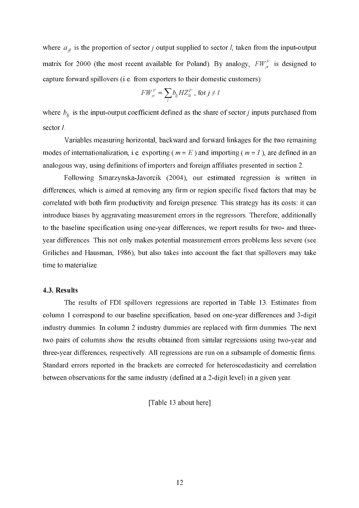where  $a_{il}$  is the proportion of sector *j* output supplied to sector *l*, taken from the input-output matrix for 2000 (the most recent available for Poland). By analogy,  $FW_{ii}^F$  is designed to capture forward spillovers (i.e. from exporters to their domestic customers):

$$
FW_{jt}^F = \sum_l b_{lj} H Z_{lt}^F , \text{ for } j \neq l
$$

where  $b_{ij}$  is the input-output coefficient defined as the share of sector *j* inputs purchased from sector  $l$ .

 Variables measuring horizontal, backward and forward linkages for the two remaining modes of internationalization, i.e. exporting ( $m = E$ ) and importing ( $m = I$ ), are defined in an analogous way, using definitions of importers and foreign affiliates presented in section 2.

Following Smarzynska-Javorcik (2004), our estimated regression is written in differences, which is aimed at removing any firm or region specific fixed factors that may be correlated with both firm productivity and foreign presence. This strategy has its costs: it can introduce biases by aggravating measurement errors in the regressors. Therefore, additionally to the baseline specification using one-year differences, we report results for two- and threeyear differences. This not only makes potential measurement errors problems less severe (see Griliches and Hausman, 1986), but also takes into account the fact that spillovers may take time to materialize.

## 4.3. Results

 The results of FDI spillovers regressions are reported in Table 13. Estimates from column 1 correspond to our baseline specification, based on one-year differences and 3-digit industry dummies. In column 2 industry dummies are replaced with firm dummies. The next two pairs of columns show the results obtained from similar regressions using two-year and three-year differences, respectively. All regressions are run on a subsample of domestic firms. Standard errors reported in the brackets are corrected for heteroscedasticity and correlation between observations for the same industry (defined at a 2-digit level) in a given year.

[Table 13 about here]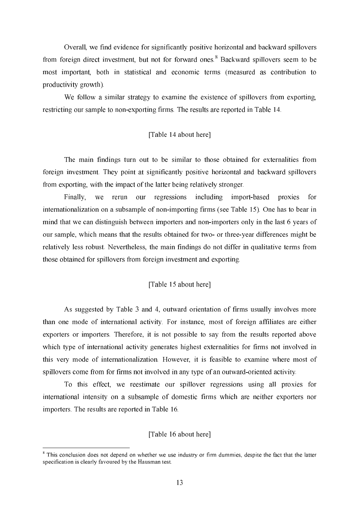Overall, we find evidence for significantly positive horizontal and backward spillovers from foreign direct investment, but not for forward ones.<sup>8</sup> Backward spillovers seem to be most important, both in statistical and economic terms (measured as contribution to productivity growth).

We follow a similar strategy to examine the existence of spillovers from exporting, restricting our sample to non-exporting firms. The results are reported in Table 14.

#### [Table 14 about here]

The main findings turn out to be similar to those obtained for externalities from foreign investment. They point at significantly positive horizontal and backward spillovers from exporting, with the impact of the latter being relatively stronger.

Finally, we rerun our regressions including import-based proxies  $for$ internationalization on a subsample of non-importing firms (see Table 15). One has to bear in mind that we can distinguish between importers and non-importers only in the last 6 years of our sample, which means that the results obtained for two- or three-year differences might be relatively less robust. Nevertheless, the main findings do not differ in qualitative terms from those obtained for spillovers from foreign investment and exporting.

#### [Table 15 about here]

As suggested by Table 3 and 4, outward orientation of firms usually involves more than one mode of international activity. For instance, most of foreign affiliates are either exporters or importers. Therefore, it is not possible to say from the results reported above which type of international activity generates highest externalities for firms not involved in this very mode of internationalization. However, it is feasible to examine where most of spillovers come from for firms not involved in any type of an outward-oriented activity.

To this effect, we reestimate our spillover regressions using all proxies for international intensity on a subsample of domestic firms which are neither exporters nor importers. The results are reported in Table 16.

#### [Table 16 about here]

<sup>&</sup>lt;sup>8</sup> This conclusion does not depend on whether we use industry or firm dummies, despite the fact that the latter specification is clearly favoured by the Hausman test.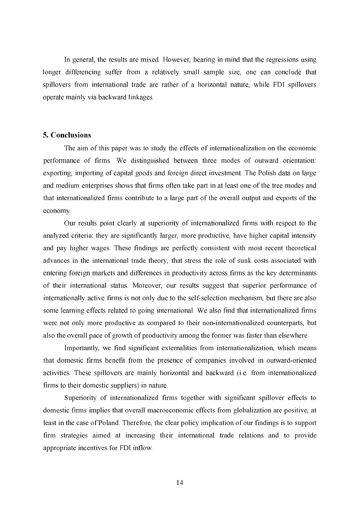In general, the results are mixed. However, bearing in mind that the regressions using longer differencing suffer from a relatively small sample size, one can conclude that spillovers from international trade are rather of a horizontal nature, while FDI spillovers operate mainly via backward linkages.

#### 5. Conclusions

The aim of this paper was to study the effects of internationalization on the economic performance of firms. We distinguished between three modes of outward orientation: exporting, importing of capital goods and foreign direct investment. The Polish data on large and medium enterprises shows that firms often take part in at least one of the tree modes and that internationalized firms contribute to a large part of the overall output and exports of the economy.

Our results point clearly at superiority of internationalized firms with respect to the analyzed criteria: they are significantly larger, more productive, have higher capital intensity and pay higher wages. These findings are perfectly consistent with most recent theoretical advances in the international trade theory, that stress the role of sunk costs associated with entering foreign markets and differences in productivity across firms as the key determinants of their international status. Moreover, our results suggest that superior performance of internationally active firms is not only due to the self-selection mechanism, but there are also some learning effects related to going international. We also find that internationalized firms were not only more productive as compared to their non-internationalized counterparts, but also the overall pace of growth of productivity among the former was faster than elsewhere.

Importantly, we find significant externalities from internationalization, which means that domestic firms benefit from the presence of companies involved in outward-oriented activities. These spillovers are mainly horizontal and backward (i.e. from internationalized firms to their domestic suppliers) in nature.

Superiority of internationalized firms together with significant spillover effects to domestic firms implies that overall macroeconomic effects from globalization are positive, at least in the case of Poland. Therefore, the clear policy implication of our findings is to support firm strategies aimed at increasing their international trade relations and to provide appropriate incentives for FDI inflow.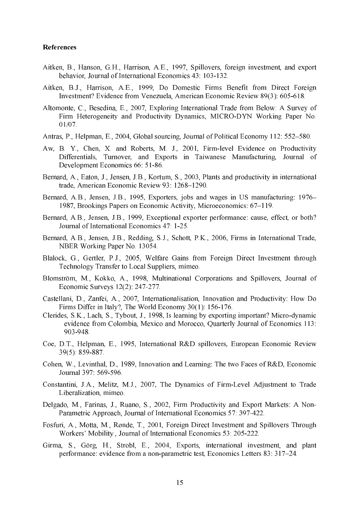## References

- Aitken, B., Hanson, G.H., Harrison, A.E., 1997, Spillovers, foreign investment, and export behavior, Journal of International Economics 43: 103-132.
- Aitken, B.J., Harrison, A.E., 1999, Do Domestic Firms Benefit from Direct Foreign Investment? Evidence from Venezuela, American Economic Review 89(3): 605-618.
- Altomonte, C., Besedina, E., 2007, Exploring International Trade from Below: A Survey of Firm Heterogeneity and Productivity Dynamics, MICRO-DYN Working Paper No.  $01/07$ .
- Antras, P., Helpman, E., 2004, Global sourcing, Journal of Political Economy 112: 552–580.
- Aw, B. Y., Chen, X. and Roberts, M. J., 2001, Firm-level Evidence on Productivity Differentials, Turnover, and Exports in Taiwanese Manufacturing, Journal of Development Economics 66: 51-86.
- Bernard, A., Eaton, J., Jensen, J.B., Kortum, S., 2003, Plants and productivity in international trade, American Economic Review 93: 1268-1290.
- Bernard, A.B., Jensen, J.B., 1995, Exporters, jobs and wages in US manufacturing: 1976– 1987, Brookings Papers on Economic Activity, Microeconomics: 67–119.
- Bernard, A.B., Jensen, J.B., 1999, Exceptional exporter performance: cause, effect, or both? Journal of International Economics 47: 1-25.
- Bernard, A.B., Jensen, J.B., Redding, S.J., Schott, P.K., 2006, Firms in International Trade, NBER Working Paper No. 13054.
- Blalock, G., Gertler, P.J., 2005, Welfare Gains from Foreign Direct Investment through Technology Transfer to Local Suppliers, mimeo.
- Blomström, M., Kokko, A., 1998, Multinational Corporations and Spillovers, Journal of Economic Surveys  $12(2)$ : 247-277.
- Castellani, D., Zanfei, A., 2007, Internationalisation, Innovation and Productivity: How Do Firms Differ in Italy?, The World Economy 30(1): 156-176.
- Clerides, S.K., Lach, S., Tybout, J., 1998, Is learning by exporting important? Micro-dynamic evidence from Colombia, Mexico and Morocco, Quarterly Journal of Economics 113: 903-948
- Coe, D.T., Helpman, E., 1995. International R&D spillovers, European Economic Review 39(5) 859-887.
- Cohen, W., Levinthal, D., 1989, Innovation and Learning: The two Faces of R&D, Economic Journal 397: 569-596
- Constantini, J.A., Melitz, M.J., 2007, The Dynamics of Firm-Level Adjustment to Trade Liberalization, mimeo.
- Delgado, M., Farinas, J., Ruano, S., 2002, Firm Productivity and Export Markets: A Non-Parametric Approach, Journal of International Economics 57: 397-422.
- Fosfuri, A., Motta, M., Rønde, T., 2001, Foreign Direct Investment and Spillovers Through Workers' Mobility Journal of International Economics 53: 205-222.
- Girma, S., Görg, H., Strobl, E., 2004, Exports, international investment, and plant performance: evidence from a non-parametric test, Economics Letters 83: 317–24.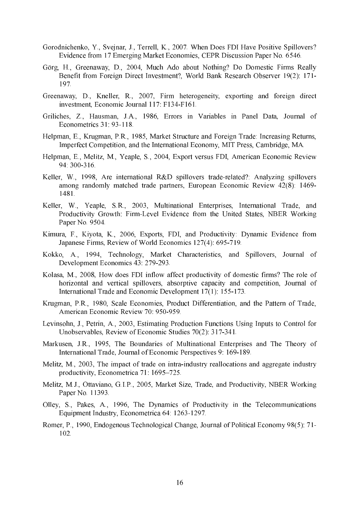- Gorodnichenko, Y., Svejnar, J., Terrell, K., 2007. When Does FDI Have Positive Spillovers? Evidence from 17 Emerging Market Economies, CEPR Discussion Paper No. 6546.
- Görg, H., Greenaway, D., 2004, Much Ado about Nothing? Do Domestic Firms Really Benefit from Foreign Direct Investment?, World Bank Research Observer 19(2): 171-197.
- Greenaway, D., Kneller, R., 2007, Firm heterogeneity, exporting and foreign direct investment, Economic Journal 117: F134-F161.
- Griliches, Z., Hausman, J.A., 1986, Errors in Variables in Panel Data, Journal of Econometrics 31: 93-118.
- Helpman, E., Krugman, P.R., 1985, Market Structure and Foreign Trade: Increasing Returns. Imperfect Competition, and the International Economy, MIT Press, Cambridge, MA.
- Helpman, E., Melitz, M., Yeaple, S., 2004. Export versus FDI, American Economic Review 94 300 316
- Keller, W., 1998. Are international R&D spillovers trade-related?: Analyzing spillovers among randomly matched trade partners, European Economic Review 42(8): 1469-1481.
- Keller, W., Yeaple, S.R., 2003, Multinational Enterprises, International Trade, and Productivity Growth: Firm-Level Evidence from the United States, NBER Working Paper No. 9504.
- Kimura, F., Kiyota, K., 2006, Exports, FDI, and Productivity: Dynamic Evidence from Japanese Firms, Review of World Economics 127(4): 695-719.
- Kokko, A., 1994, Technology, Market Characteristics, and Spillovers, Journal of Development Economics 43: 279-293.
- Kolasa, M., 2008, How does FDI inflow affect productivity of domestic firms? The role of horizontal and vertical spillovers, absorptive capacity and competition, Journal of International Trade and Economic Development 17(1): 155-173.
- Krugman, P.R., 1980, Scale Economies, Product Differentiation, and the Pattern of Trade. American Economic Review 70: 950-959.
- Levinsohn, J., Petrin, A., 2003, Estimating Production Functions Using Inputs to Control for Unobservables, Review of Economic Studies 70(2): 317-341.
- Markusen, J.R., 1995, The Boundaries of Multinational Enterprises and The Theory of International Trade, Journal of Economic Perspectives 9: 169-189.
- Melitz, M., 2003, The impact of trade on intra-industry reallocations and aggregate industry productivity, Econometrica 71: 1695-725.
- Melitz, M.J., Ottaviano, G.I.P., 2005, Market Size, Trade, and Productivity, NBER Working Paper No. 11393.
- Olley, S., Pakes, A., 1996, The Dynamics of Productivity in the Telecommunications Equipment Industry, Econometrica 64: 1263-1297.
- Romer, P., 1990, Endogenous Technological Change, Journal of Political Economy 98(5): 71- $102<sub>1</sub>$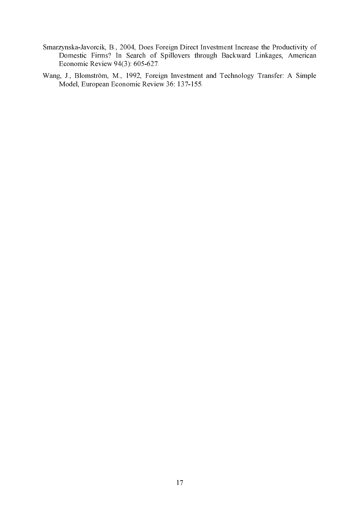- Smarzynska-Javorcik, B., 2004, Does Foreign Direct Investment Increase the Productivity of Domestic Firms? In Search of Spillovers through Backward Linkages, American Economic Review 94(3):  $605-627$ .
- Wang, J., Blomström, M., 1992, Foreign Investment and Technology Transfer: A Simple Model, European Economic Review 36: 137-155.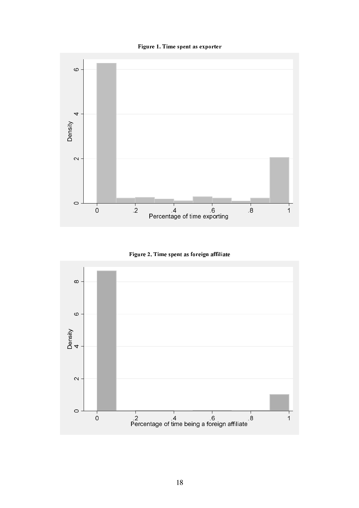Figure 1. Time spent as exporter



Figure 2. Time spent as foreign affiliate

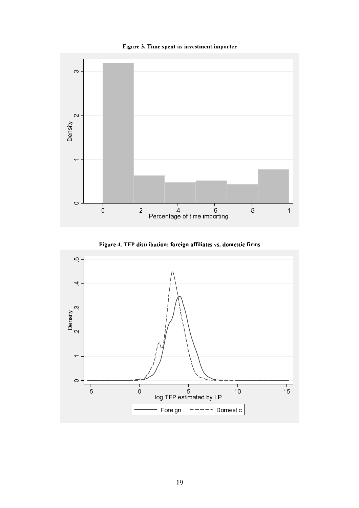





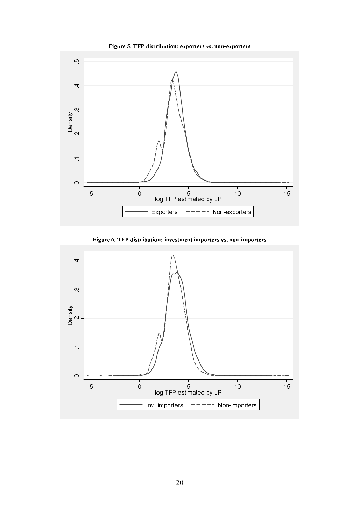

Figure 5. TFP distribution: exporters vs. non-exporters

Figure 6. TFP distribution: investment importers vs. non-importers

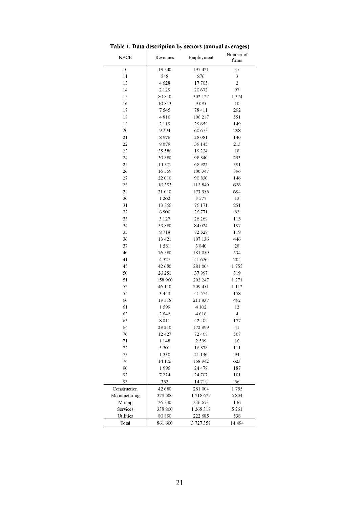| <b>NACE</b>           | Revenues         | Employment           | Number of<br>firms |
|-----------------------|------------------|----------------------|--------------------|
| 10                    | 19 3 4 0         | 197421               | 35                 |
| 11                    | 248              | 876                  | 3                  |
| 13                    | 4628             | 17705                | $\overline{c}$     |
| 14                    | 2 1 2 9          | 20 672               | 97                 |
| 15                    | 80810            | 302 127              | 1 3 7 4            |
| 16                    | 10813            | 9 0 9 5              | 10                 |
| 17                    | 7545             | 78 411               | 292                |
| 18                    | 4810             | 106 217              | 551                |
| 19                    | 2 1 1 9          | 29 659               | 149                |
| 20                    | 9 2 9 4          | 60 673               | 298                |
| 21                    | 8976             | 28 081               | 140                |
| 22                    | 8 0 7 9          | 39 1 45              | 213                |
| 23                    | 35 580           | 19 224               | 18                 |
| 24                    | 30880            | 98 8 4 0             | 253                |
| 25                    | 14371            | 68 9 22              | 391                |
| 26                    | 16569            | 100 347              | 396                |
| 27                    | 22 010           | 90830                | 146                |
| 28                    | 16393            | 112840               | 628                |
| 29                    | 21 010           | 173 955              | 694                |
| 30                    | 1 2 6 2          | 3 5 7 7              | 13                 |
| 31                    | 13 3 6 6         | 76 1 71              | 251                |
| 32                    | 8900             | 26 771               | 82                 |
| 33                    | 3 1 2 7          | 26 269               | 115                |
| 34                    | 33 880           | 84 024               | 197                |
| 35                    | 8718             | 72 5 28              | 119                |
| 36                    | 13 421           | 107136               | 446                |
| 37                    | 1581             | 3840                 | 28                 |
| 40                    | 76 580           | 181 059              | 334                |
| 41                    | 4327             | 41 626               | 204                |
| 45                    | 42 680           | 281 004              | 1755               |
| 50                    | 26 251           | 37997                | 319                |
| 51                    | 158 960          | 202 247              | 1 271              |
| 52                    | 46 110           | 209 451              | 1 1 1 2            |
| 55                    | 3 4 4 3          | 41 574               | 158                |
| 60                    | 19318            | 211837               | 492                |
| 61                    | 1 5 9 9          | 4 1 0 2              | 12                 |
| 62                    | 2642             | 4616                 | 4                  |
| 63                    | 8 0 1 1          | 42 409               | 177                |
| 64                    | 29 210           | 172899               | 41                 |
| 70                    | 12 4 27          | 72 409               | 507                |
| 71                    | 1 1 4 8          | 2599                 | 16                 |
| 72                    | 5 3 0 1          | 16878                | 111                |
| 73                    | 1330             | 21 1 4 6             | 94                 |
| 74                    | 14 105           | 168 942              | 623                |
| 90                    | 1996             | 24 478               | 187                |
| 92                    | 7 2 2 4          | 24 707               | 101                |
| 93                    | 352              | 14 719               | 56                 |
|                       | 42 680           |                      | 1755               |
| Construction          |                  | 281 004              | 6 8 0 4            |
| Manufacturing         | 373 500          | 1 718 679            |                    |
| Mining                | 26330            | 236 673              | 136                |
| Services<br>Utilities | 338 800<br>80890 | 1 268 318<br>222 685 | 5 261<br>538       |
| Total                 | 861 600          | 3 727 359            | 14 494             |

# Table 1. Data description by sectors (annual averages)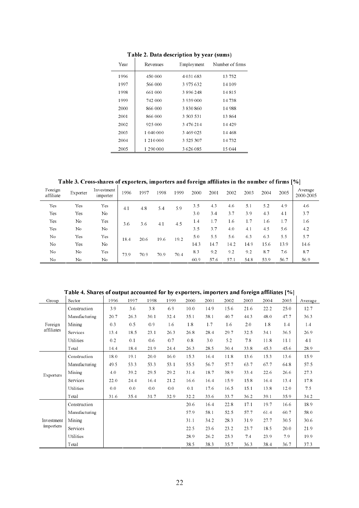| Year | Revenues  | Employment | Number of firms |
|------|-----------|------------|-----------------|
| 1996 | 450 000   | 4 031 683  | 13752           |
| 1997 | 566 000   | 3 975 632  | 14109           |
| 1998 | 661 000   | 3 896 248  | 14815           |
| 1999 | 742.000   | 3 939 000  | 14 738          |
| 2000 | 866.000   | 3 830 860  | 14988           |
| 2001 | 866 000   | 3 503 531  | 13864           |
| 2002 | 925 000   | 3 476 214  | 14 4 2 9        |
| 2003 | 1 040 000 | 3 469 025  | 14 468          |
| 2004 | 1 210 000 | 3 525 307  | 14732           |
| 2005 | 1 290 000 | 3 626 085  | 15 044          |
|      |           |            |                 |

Table 2. Data description by year (sums)

Table 3. Cross-shares of exporters, importers and foreign affiliates in the number of firms [%]

| Foreign<br>affiliate | Exporter | Investment<br>importer | 1996 | 1997 | 1998 | 1999 | 2000 | 2001 | 2002 | 2003 | 2004 | 2005 | Average<br>2000-2005 |
|----------------------|----------|------------------------|------|------|------|------|------|------|------|------|------|------|----------------------|
| Yes                  | Yes      | Yes                    | 4.1  | 4.8  | 5.4  | 5.9  | 3.5  | 4.3  | 4.6  | 5.1  | 5.2  | 4.9  | 4.6                  |
| Yes                  | Yes      | No                     |      |      |      |      | 30   | 3.4  | 3.7  | 3.9  | 4.3  | 4.1  | 3.7                  |
| Yes                  | No       | Yes                    | 36   | 3.6  | 4.1  | 4.5  | 1.4  | 1.7  | 1.6  | 1.7  | 1.6  | 1.7  | 1.6                  |
| Yes                  | No       | No                     |      |      |      |      | 3.5  | 3.7  | 4.0  | 4.1  | 4.5  | 5.6  | 4.2                  |
| No                   | Yes      | Yes                    | 18.4 | 20.6 | 19.6 | 19.2 | 5.0  | 5.5  | 5.6  | 6.3  | 63   | 5.5  | 5.7                  |
| No                   | Yes      | No                     |      |      |      |      | 14.3 | 14.7 | 14.2 | 14.9 | 15.6 | 13.9 | 14.6                 |
| No                   | No       | Yes                    | 73.9 | 70.9 | 70.9 | 70.4 | 8.3  | 9.2  | 9.2  | 9.2  | 8.7  | 76   | 8.7                  |
| No                   | No       | No.                    |      |      |      |      | 60.9 | 57.6 | 57.1 | 54.8 | 53.9 | 56.7 | 56.9                 |

Table 4. Shares of output accounted for by exporters, importers and foreign affiliates [%]

| Group            | Sector        | 1996 | 1997           | 1998 | 1999 | 2000 | 2001 | 2002 | 2003 | 2004 | 2005 | Average |
|------------------|---------------|------|----------------|------|------|------|------|------|------|------|------|---------|
|                  | Construction  | 3.9  | 3.6            | 3.8  | 6.9  | 10.0 | 14.9 | 15.6 | 21.6 | 22.2 | 25.0 | 12.7    |
|                  | Manufacturing | 20.7 | 26.3           | 30.1 | 32.4 | 35.1 | 38.1 | 40.7 | 44.3 | 48.0 | 47.7 | 36.3    |
| Foreign          | Mining        | 0.3  | 0.5            | 0.9  | 1.6  | 1.8  | 1.7  | 1.6  | 2.0  | 1.8  | 1.4  | 1.4     |
| affiliates       | Services      | 13.4 | 18.5           | 23.1 | 26.3 | 26.8 | 28.4 | 29.7 | 32.5 | 34.1 | 36.5 | 26.9    |
|                  | Utilities     | 0.2  | 0.1            | 0.6  | 0.7  | 0.8  | 3.0  | 5.2  | 7.8  | 11.8 | 11.1 | 4.1     |
|                  | Total         | 14.4 | 18.4           | 21.9 | 24.4 | 26.3 | 28.5 | 30.4 | 33.8 | 45.3 | 45.6 | 28.9    |
|                  | Construction  | 18.0 | 19.1           | 20.0 | 16.0 | 15.3 | 16.4 | 11.8 | 13.6 | 15.3 | 13.6 | 15.9    |
|                  | Manufacturing | 49.5 | 53.3           | 53.3 | 53.1 | 55.5 | 56.7 | 57.7 | 63.7 | 67.7 | 648  | 57.5    |
| <b>Exporters</b> | Mining        | 4.0  | 39.2           | 29.5 | 29.2 | 31.4 | 18.7 | 38.9 | 33.4 | 22.6 | 26.6 | 27.3    |
|                  | Services      | 22.0 | 24.4           | 16.4 | 21.2 | 16.6 | 16.4 | 15.9 | 15.8 | 16.4 | 13.4 | 17.8    |
|                  | Utilities     | 0.0  | 0 <sub>0</sub> | 0.0  | 0.0  | 0.1  | 17.6 | 16.5 | 15.1 | 13.8 | 12.0 | 7.5     |
|                  | Total         | 31.6 | 35.4           | 31.7 | 32.9 | 32.2 | 33.6 | 33.7 | 36.2 | 39.1 | 35.9 | 34.2    |
|                  | Construction  |      |                |      |      | 20.6 | 16.4 | 22.8 | 17.1 | 19.7 | 16.6 | 18.9    |
|                  | Manufacturing |      |                |      |      | 57.9 | 58.1 | 52.5 | 57.7 | 61.4 | 60.7 | 58.0    |
| Investment       | Mining        |      |                |      |      | 31.1 | 34.2 | 28.3 | 31.9 | 27.7 | 30.5 | 30.6    |
| importers        | Services      |      |                |      |      | 22.5 | 23.6 | 23.2 | 23.7 | 18.5 | 20.0 | 21.9    |
|                  | Utilities     |      |                |      |      | 28.9 | 26.2 | 25.3 | 7.4  | 23.9 | 7.9  | 19.9    |
|                  | Total         |      |                |      |      | 38.5 | 38.3 | 35.7 | 36.3 | 38.4 | 36.7 | 37.3    |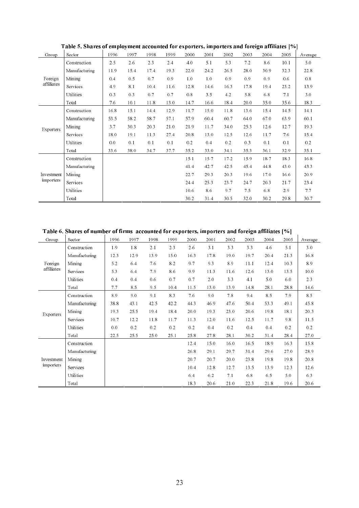| Group            | Sector           | 1996 | 1997 | 1998 | 1999 | 2000           | 2001 | 2002 | 2003 | 2004 | 2005 | Average |
|------------------|------------------|------|------|------|------|----------------|------|------|------|------|------|---------|
|                  | Construction     | 2.5  | 2.6  | 2.3  | 2.4  | 4.0            | 5.1  | 5.3  | 7.2  | 8.6  | 10.1 | 5.0     |
|                  | Manufacturing    | 11.9 | 15.4 | 17.4 | 19.3 | 22.0           | 24.2 | 26.5 | 28.0 | 30.9 | 32.3 | 22.8    |
| Foreign          | Mining           | 0.4  | 0.5  | 0.7  | 0.9  | 1 <sub>0</sub> | 1.0  | 0.9  | 0.9  | 0.9  | 0.6  | 0.8     |
| affiliates       | Services         | 4.9  | 8.1  | 10.4 | 11.6 | 12.8           | 14.6 | 16.3 | 178  | 19.4 | 23.2 | 13.9    |
|                  | Utilities        | 0.3  | 0.3  | 0.7  | 0.7  | 0.8            | 3.5  | 4.2  | 5.8  | 6.8  | 7.1  | 3.0     |
|                  | Total            | 7.6  | 10.1 | 11.8 | 13.0 | 14.7           | 16.6 | 18.4 | 20.0 | 35.0 | 35.6 | 18.3    |
|                  | Construction     | 16.8 | 15.1 | 14.4 | 12.9 | 11.7           | 15.0 | 11.8 | 13.6 | 15.4 | 14.5 | 14.1    |
|                  | Manufacturing    | 53.5 | 58.2 | 58.7 | 57.1 | 57.9           | 60.4 | 60.7 | 64.0 | 67.0 | 63.9 | 60.1    |
| <b>Exporters</b> | Mining           | 3.7  | 30.3 | 20.3 | 21.0 | 21.9           | 11.7 | 34.0 | 25.3 | 12.6 | 12.7 | 19.3    |
|                  | Services         | 18.0 | 19.1 | 11.3 | 27.4 | 20.8           | 13.0 | 12.5 | 12.6 | 11.7 | 7.6  | 15.4    |
|                  | Utilities        | 0.0  | 0.1  | 0.1  | 0.1  | 0.2            | 0.4  | 0.2  | 0.3  | 0.1  | 0.1  | 0.2     |
|                  | Total            | 33.6 | 38.0 | 34.7 | 37.7 | 35.2           | 33.0 | 34.1 | 35.3 | 36.1 | 32.9 | 35.1    |
|                  | Construction     |      |      |      |      | 15.1           | 15.7 | 17.2 | 15.9 | 18.7 | 18.3 | 16.8    |
|                  | Manufacturing    |      |      |      |      | 41.4           | 42.7 | 42.5 | 45.4 | 44.8 | 43.0 | 43.3    |
| Investment       | Mining           |      |      |      |      | 22.7           | 29.3 | 20.3 | 19.6 | 17.0 | 16.6 | 20.9    |
| importers        | Services         |      |      |      |      | 24.4           | 25.3 | 23.7 | 24.7 | 20.3 | 21.7 | 23.4    |
|                  | <b>Utilities</b> |      |      |      |      | 10.6           | 8.6  | 9.7  | 7.5  | 6.8  | 2.9  | 7.7     |
|                  | Total            |      |      |      |      | 30.2           | 31.4 | 30.5 | 32.0 | 30.2 | 29.8 | 30.7    |

Table 5. Shares of employment accounted for exporters, importers and foreign affiliates [%]

Table 6. Shares of number of firms accounted for exporters, importers and foreign affiliates [%]

| Group                   | Sect or          | 1996 | 1997    | 1998 | 1999 | 2000 | 2001 | 2002 | 2003 | 2004 | 2005 | Average |
|-------------------------|------------------|------|---------|------|------|------|------|------|------|------|------|---------|
|                         | Construction     | 1.9  | $1.8\,$ | 2.1  | 2.3  | 2.6  | 3.1  | 3.3  | 3.3  | 4.6  | 5.1  | 3.0     |
|                         | Manufacturing    | 12.3 | 12.9    | 13.9 | 15.0 | 16.3 | 17.8 | 19.0 | 19.7 | 20.4 | 21.3 | 16.8    |
| Foreign                 | Mining           | 5.2  | 6.4     | 7.6  | 8.2  | 9.7  | 9.3  | 8.9  | 11.1 | 12.4 | 10.3 | 8.9     |
| affiliates              | Services         | 5.3  | 6.4     | 7.9  | 8.6  | 9.9  | 11.3 | 11.6 | 12.6 | 13.0 | 13.5 | 10.0    |
|                         | Utilities        | 0.4  | 0.4     | 0.6  | 0.7  | 0.7  | 2.0  | 3.3  | 4.1  | 5.0  | 6.0  | 2.3     |
|                         | Total            | 7.7  | 8.5     | 9.5  | 10.4 | 11.5 | 13.0 | 13.9 | 148  | 28.1 | 28.8 | 14.6    |
|                         | Construction     | 89   | 9.0     | 9.1  | 8.3  | 7.6  | 9.0  | 7.8  | 9.4  | 8.5  | 7.9  | 8.5     |
|                         | Manufacturing    | 38.8 | 43.1    | 42.5 | 42.2 | 44.3 | 46.9 | 47.6 | 50.4 | 53.3 | 49.1 | 45.8    |
| <b>Exporters</b>        | Mining           | 19.3 | 25.5    | 19.4 | 18.4 | 20.0 | 19.3 | 23.0 | 20.6 | 19.8 | 18.1 | 20.3    |
|                         | Services         | 10.7 | 12.2    | 11.8 | 11.7 | 11.3 | 12.0 | 11.6 | 12.5 | 11.7 | 9.8  | 11.5    |
|                         | <b>Utilities</b> | 0.0  | 0.2     | 0.2  | 0.2  | 0.2  | 0.4  | 0.2  | 0.4  | 0.4  | 0.2  | 0.2     |
|                         | Total            | 22.5 | 25.5    | 25.0 | 25.1 | 25.8 | 27.8 | 28.1 | 30.2 | 31.4 | 28.4 | 27.0    |
|                         | Construction     |      |         |      |      | 12.4 | 15.0 | 16.0 | 16.5 | 18.9 | 16.3 | 15.8    |
|                         | Manufacturing    |      |         |      |      | 26.8 | 29.1 | 29.7 | 31.4 | 29.6 | 27.0 | 28.9    |
| Investment<br>importers | Mining           |      |         |      |      | 20.7 | 20.7 | 20.0 | 23.8 | 19.8 | 19.8 | 20.8    |
|                         | Services         |      |         |      |      | 10.4 | 12.8 | 12.7 | 13.5 | 13.9 | 12.3 | 12.6    |
|                         | <b>Utilities</b> |      |         |      |      | 6.4  | 6.2  | 7.1  | 6.8  | 6.5  | 5.0  | 63      |
|                         | Total            |      |         |      |      | 18.3 | 20.6 | 21.0 | 22.3 | 21.8 | 19.6 | 20.6    |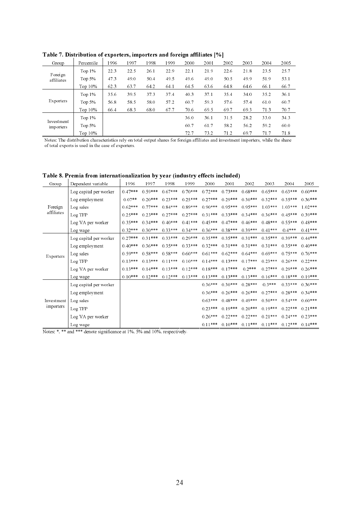| Group            | Percentile | 1996 | 1997 | 1998 | 1999 | 2000 | 2001 | 2002 | 2003 | 2004 | 2005 |
|------------------|------------|------|------|------|------|------|------|------|------|------|------|
| Foreign          | Top $1\%$  | 22.3 | 22.5 | 26.1 | 22.9 | 22.1 | 21.9 | 22.6 | 21.8 | 23.5 | 25.7 |
| affiliates       | Top $5%$   | 47.3 | 49.0 | 50.4 | 49.5 | 49.6 | 49.0 | 50.5 | 49.9 | 51.9 | 53.1 |
|                  | Top $10\%$ | 62.3 | 63.7 | 64.2 | 64.1 | 64.5 | 63.6 | 648  | 64.6 | 66.1 | 66.7 |
|                  | Top $1\%$  | 35.6 | 39.5 | 37.3 | 37.4 | 40.3 | 37.1 | 35.4 | 34.0 | 35.2 | 36.1 |
| <b>Exporters</b> | Top $5%$   | 56.8 | 58.5 | 58.0 | 57.2 | 60.7 | 59.3 | 57.6 | 57.4 | 61.0 | 60.7 |
|                  | Top $10\%$ | 66.4 | 68.3 | 68.0 | 67.7 | 70.6 | 69.5 | 69.7 | 69.3 | 71.3 | 70.7 |
| Investment       | Top $1\%$  |      |      |      |      | 36.0 | 36.1 | 31.5 | 28.2 | 33.0 | 343  |
| importers        | Top $5%$   |      |      |      |      | 60.7 | 61.7 | 58.2 | 56.2 | 59.2 | 60.0 |
|                  | Top $10\%$ |      |      |      |      | 72.7 | 73.2 | 71.2 | 69.7 | 71.7 | 71.8 |

Table 7. Distribution of exporters, importers and foreign affiliates [%]

Notes: The distribution characteristics rely on total output shares for foreign affiliates and investment importers, while the share<br>of total exports is used in the case of currenters. of total exports is used in the case of exporters.

| Table 8. Premia from internationalization by year (industry effects included) |                                 |  |  |      |
|-------------------------------------------------------------------------------|---------------------------------|--|--|------|
| Group I Dependent variable                                                    | 1 1996 1997 1998 1999 2000 2001 |  |  | 2002 |

| Group                   | Dependent variable     | 1996      | 1997      | 1998      | 1999      | 2000      | 2001      | 2002      | 2003      | 2004      | 2005      |
|-------------------------|------------------------|-----------|-----------|-----------|-----------|-----------|-----------|-----------|-----------|-----------|-----------|
|                         | Log capital per worker | $0.47***$ | $0.59***$ | $0.67***$ | $0.70***$ | $0.72***$ | $0.73***$ | $0.68***$ | $0.65***$ | $0.63***$ | $0.60***$ |
|                         | Log employment         | $0.07**$  | $0.20***$ | $0.23***$ | $0.25***$ | $0.27***$ | $0.29***$ | $0.30***$ | $0.32***$ | $0.35***$ | $0.36***$ |
| Foreign                 | Log sales              | $0.62***$ | $0.77***$ | $0.84***$ | $0.89***$ | $0.90***$ | $0.95***$ | $0.95***$ | $1.03***$ | $1.03***$ | $1.02***$ |
| affiliates              | Log TFP                | $0.25***$ | $0.23***$ | $0.27***$ | $0.27***$ | $0.31***$ | $0.33***$ | $0.34***$ | $0.36***$ | $0.45***$ | $0.39***$ |
|                         | Log VA per worker      | $0.35***$ | $0.34***$ | $0.40***$ | $0.41***$ | $0.45***$ | $0.47***$ | $0.46***$ | $0.48***$ | $0.55***$ | $0.48***$ |
|                         | Log wage               | $0.32***$ | $0.30***$ | $0.33***$ | $0.34***$ | $0.36***$ | $0.38***$ | $0.39***$ | $0.41***$ | $0.4***$  | $0.41***$ |
|                         | Log capital per worker | $0.27***$ | $0.31***$ | $0.33***$ | $0.29***$ | $0.35***$ | $0.35***$ | $0.31***$ | $0.35***$ | $0.39***$ | $0.44***$ |
|                         | Log employment         | $0.40***$ | $0.36***$ | $0.35***$ | $0.33***$ | $0.32***$ | $0.31***$ | $0.31***$ | $0.31***$ | $0.35***$ | $0.40***$ |
| <b>Exporters</b>        | Log sales              | $0.59***$ | $0.58***$ | $0.58***$ | $0.60***$ | $0.61***$ | $0.62***$ | $0.64***$ | $0.69***$ | $0.75***$ | $0.76***$ |
|                         | Log TFP                | $0.13***$ | $0.13***$ | $0.11***$ | $0.10***$ | $0.14***$ | $0.13***$ | $0.17***$ | $0.23***$ | $0.26***$ | $0.22***$ |
|                         | Log VA per worker      | $0.13***$ | $0.14***$ | $0.13***$ | $0.12***$ | $0.18***$ | $0.17***$ | $0.2***$  | $0.27***$ | $0.29***$ | $0.26***$ |
|                         | Log wage               | $0.10***$ | $0.12***$ | $0.12***$ | $0.13***$ | $0.13***$ | $0.13***$ | $0.13***$ | $0.16***$ | $0.18***$ | $0.19***$ |
|                         | Log capital per worker |           |           |           |           | $0.36***$ | $0.30***$ | $0.28***$ | $0.3***$  | $0.33***$ | $0.36***$ |
|                         | Log employment         |           |           |           |           | $0.36***$ | $0.26***$ | $0.26***$ | $0.27***$ | $0.28***$ | $0.34***$ |
| Investment<br>importers | Log sales              |           |           |           |           | $0.63***$ | $0.48***$ | $0.49***$ | $0.50***$ | $0.54***$ | $0.60***$ |
|                         | Log TFP                |           |           |           |           | $0.23***$ | $0.19***$ | $0.20***$ | $0.19***$ | $0.22***$ | $0.21***$ |
|                         | Log VA per worker      |           |           |           |           | $0.26***$ | $0.22***$ | $0.22***$ | $0.21***$ | $0.24***$ | $0.23***$ |
|                         | Log wage               |           |           |           |           | $0.11***$ | $0.10***$ | $0.11***$ | $0.11***$ | $0.12***$ | $0.14***$ |

Notes: \*, \*\* and \*\*\* denote significance at 1%, 5% and 10%, respectively.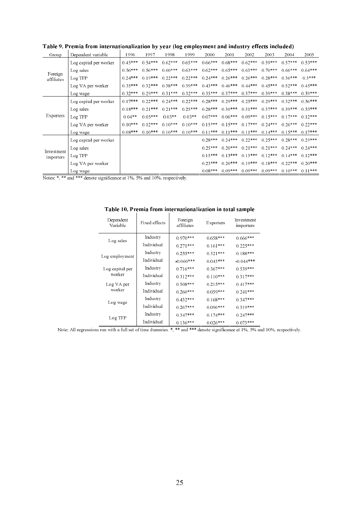| Group                   | Dependent variable     | 1996      | 1997      | 1998      | 1999      | 2000      | 2001      | 2002      | 2003      | 2004      | 2005      |
|-------------------------|------------------------|-----------|-----------|-----------|-----------|-----------|-----------|-----------|-----------|-----------|-----------|
|                         | Log capital per worker | $0.45***$ | $0.54***$ | $0.62***$ | $0.65***$ | $0.66***$ | $0.68***$ | $0.62***$ | $0.59***$ | $0.57***$ | $0.53***$ |
|                         | Log sales              | $0.56***$ | $0.56***$ | $0.60***$ | $0.63***$ | $0.62***$ | $0.65***$ | $0.63***$ | $0.70***$ | $0.66***$ | $0.64***$ |
| Foreign<br>affiliates   | Log TFP                | $0.24***$ | $0.19***$ | $0.22***$ | $0.22***$ | $0.24***$ | $0.26***$ | $0.26***$ | $0.28***$ | $0.36***$ | $0.3***$  |
|                         | Log VA per worker      | $0.35***$ | $0.32***$ | $0.38***$ | $0.39***$ | $0.43***$ | $0.46***$ | $0.44***$ | $0.45***$ | $0.52***$ | $0.45***$ |
|                         | Log wage               | $0.32***$ | $0.29***$ | $0.31***$ | $0.32***$ | $0.35***$ | $0.37***$ | $0.37***$ | $0.39***$ | $0.38***$ | $0.39***$ |
|                         | Log capital per worker | $0.17***$ | $0.22***$ | $0.24***$ | $0.22***$ | $0.28***$ | $0.29***$ | $0.25***$ | $0.29***$ | $0.32***$ | $0.36***$ |
|                         | Log sales              | $0.18***$ | $0.21***$ | $0.21***$ | $0.25***$ | $0.28***$ | $0.30***$ | $0.31***$ | $0.37***$ | $0.39***$ | $0.33***$ |
| Exporters               | Log TFP                | $0.04**$  | $0.05***$ | $0.03**$  | $0.03**$  | $0.07***$ | $0.06***$ | $0.09***$ | $0.15***$ | $0.17***$ | $0.12***$ |
|                         | Log VA per worker      | $0.10***$ | $0.12***$ | $0.10***$ | $0.10***$ | $0.15***$ | $0.15***$ | $0.17***$ | $0.24***$ | $0.26***$ | $0.22***$ |
|                         | Log wage               | $0.08***$ | $0.10***$ | $0.10***$ | $0.10***$ | $0.11***$ | $0.11***$ | $0.11***$ | $0.14***$ | $0.15***$ | $0.17***$ |
|                         | Log capital per worker |           |           |           |           | $0.28***$ | $0.24***$ | $0.22***$ | $0.25***$ | $0.28***$ | $0.29***$ |
|                         | Log sales              |           |           |           |           | $0.25***$ | $0.20***$ | $0.21***$ | $0.21***$ | $0.24***$ | $0.24***$ |
| Investment<br>importers | Log TFP                |           |           |           |           | $0.15***$ | $0.13***$ | $0.13***$ | $0.12***$ | $0.14***$ | $0.12***$ |
|                         | Log VA per worker      |           |           |           |           | $0.23***$ | $0.20***$ | $0.19***$ | $0.18***$ | $0.22***$ | $0.20***$ |
|                         | Log wage               |           |           |           |           | $0.08***$ | $0.09***$ | $0.09***$ | $0.09***$ | $0.10***$ | $0.11***$ |

Table 9. Premia from internationalization by year (log employment and industry effects included)

Notes: \*, \*\* and \*\*\* denote significance at 1%, 5% and 10%, respectively.

| Dependent<br>Variable | Fixed effects | Foreign<br>affiliates | <b>Exporters</b> | Investment<br>importers |
|-----------------------|---------------|-----------------------|------------------|-------------------------|
|                       | Industry      | $0.970***$            | $0.658***$       | $0.666***$              |
| Log sales             | Individual    | $0.271***$            | $0.161***$       | $0.225***$              |
|                       | Industry      | $0.255***$            | $0.321***$       | $0.188***$              |
| Log employment        | Individual    | $-0.060***$           | $0.043***$       | $-0.044***$             |
| Log capital per       | Industry      | $0.716***$            | $0.367***$       | $0.539***$              |
| worker                | Individual    | $0.312***$            | $0.110***$       | $0.317***$              |
| Log VA per            | Industry      | $0.508***$            | $0.215***$       | $0.417***$              |
| worker                | Individual    | $0.260***$            | $0.059***$       | $0.241***$              |
| Log wage              | Industry      | $0.432***$            | $0.168***$       | $0.347***$              |
|                       | Individual    | $0.267***$            | $0.096***$       | $0.319***$              |
|                       | Industry      | $0.347***$            | $0.174***$       | $0.247***$              |
| Log TFP               | Individual    | 0.136***              | 0.026***         | 0.073 ***               |

Table 10. Premia from internationalization in total sample

Note: All regressions run with a full set of time dummies. \*, \*\* and \*\*\* denote significance at 1%, 5% and 10%, respectively.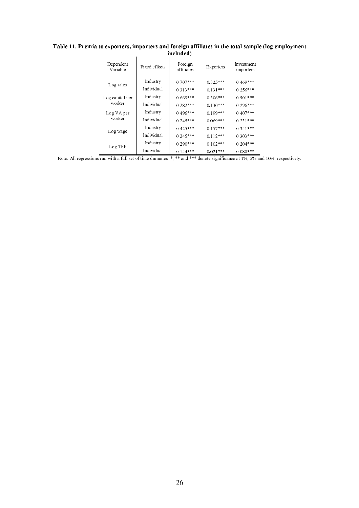| Dependent<br>Variable | Fixed effects | Foreign<br>affiliates | <b>Exporters</b> | Investment<br>importers |
|-----------------------|---------------|-----------------------|------------------|-------------------------|
| Log sales             | Industry      | $0.707***$            | $0.325***$       | $0.469***$              |
|                       | Individual    | $0.313***$            | $0.131***$       | $0.256***$              |
| Log capital per       | Industry      | $0.669***$            | $0.306***$       | $0.501***$              |
| worker                | Individual    | $0.282***$            | $0.130***$       | $0.296***$              |
| Log VA per            | Industry      | $0.496***$            | $0.199***$       | $0.407***$              |
| worker                | Individual    | $0.245***$            | $0.069***$       | $0.231***$              |
| Log wage              | Industry      | $0.425***$            | $0.157***$       | $0.341***$              |
|                       | Individual    | $0.245***$            | $0.112***$       | $0.303***$              |
| Log TFP               | Industry      | $0.290***$            | $0.102***$       | $0.204***$              |
|                       | Individual    | $0.144***$            | $0.021***$       | $0.080***$              |

#### Table 11. Premia to exporters, importers and foreign affiliates in the total sample (log employment included)  $\mathbf{r}$

Note: All regressions run with a full set of time dummies. \*, \*\* and \*\*\* denote significance at 1%, 5% and 10%, respectively.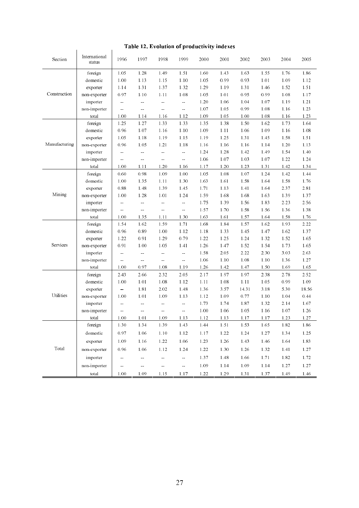| Table 12. Evolution of productivity indexes |  |
|---------------------------------------------|--|
|---------------------------------------------|--|

| Table 12. Evolution of productivity indexes |                         |                  |                          |                    |                           |          |          |       |      |          |       |
|---------------------------------------------|-------------------------|------------------|--------------------------|--------------------|---------------------------|----------|----------|-------|------|----------|-------|
| Section                                     | International<br>status | 1996             | 1997                     | 1998               | 1999                      | 2000     | 2001     | 2002  | 2003 | 2004     | 2005  |
|                                             | foreign                 | 1.05             | 1.28                     | 1.49               | 1.51                      | 1.60     | 1.43     | 1.63  | 1.55 | 1.76     | 186   |
|                                             | domestic                | 1.00             | 1.13                     | 1.15               | 1.10                      | 1.05     | 0.99     | 0.93  | 1.01 | 1.09     | 1.12  |
|                                             | exporter                | 1.14             | 1.31                     | 1.37               | 1.32                      | 1.29     | 1.19     | 1.31  | 1.46 | 1.52     | 1.51  |
| Construction                                | non-exporter            | 0.97             | 1.10                     | 1.11               | 1.08                      | 1.05     | 1.01     | 0.95  | 0.99 | 1.08     | 1.17  |
|                                             | importer                | $\omega_{\rm m}$ | $\omega_{\rm m}$         | $\omega_{\rm eff}$ | $\omega_{\rm{m}}$         | 1.20     | 1.06     | 1.04  | 1.07 | 1.19     | 1.21  |
|                                             | non-importer            | ÷,               | ÷,                       | $\mathbb{Z}^2$     | $\omega_{\rm{m}}$         | 1.07     | 1.05     | 0.99  | 1.08 | 1.16     | 1.23  |
|                                             | total                   | 1.00             | 1.14                     | 1.16               | 1.12                      | 1.09     | 1.05     | 1.00  | 1.08 | 1.16     | 1.23  |
|                                             | foreign                 | 1.25             | 1.27                     | 1.33               | 1.33                      | 1.35     | 1.38     | 1.50  | 1.62 | 1.73     | 1.64  |
|                                             | domestic                | 0.96             | 1.07                     | 1.16               | 1.10                      | 1.09     | 1.11     | 1.06  | 1.09 | 1.16     | 1.08  |
|                                             | exporter                | 1.05             | 118                      | 1.19               | 1.15                      | 1.19     | 1.25     | 1.31  | 1.45 | 1.58     | 1.51  |
| Manufacturing                               | non-exporter            | 0.96             | 1.05                     | 1.21               | 1.18                      | 1.16     | 1.16     | 1.16  | 1.14 | 1.20     | 1.13  |
|                                             | importer                | $\omega_{\rm m}$ | ω,                       | $\omega$ $\omega$  | ÷,                        | 1.24     | 1.28     | 1.42  | 1.49 | 1.54     | 1.40  |
|                                             | non-importer            | 44               | $\overline{\phantom{a}}$ | $\omega_{\rm m}$   | $\mathbb{Z}^2$            | 1.06     | 1.07     | 1.03  | 1.07 | 1.22     | 1.24  |
|                                             | total                   | 1.00             | 1.11                     | 1.20               | 1.16                      | 1.17     | 1.20     | 1.23  | 1.31 | 1.42     | 1.34  |
|                                             | foreign                 | 0.60             | 0.98                     | 1.09               | 1.00                      | 1.05     | 1.08     | 1.07  | 1.24 | 1.42     | 1.44  |
|                                             | domestic                | 1.00             | 1.35                     | 1.11               | 1.30                      | 1.63     | 1.61     | 1.58  | 1.64 | 1.58     | 1.76  |
|                                             | exporter                | 0.88             | 1 48                     | 1.39               | 1.45                      | 1.71     | 1.13     | 1.41  | 1.64 | 2.37     | 2.81  |
| Mining                                      | non-exporter            | 1.00             | 1.28                     | 1.01               | 1.24                      | 1.59     | 1.68     | 1.68  | 1.63 | 1.39     | 1.37  |
|                                             | importer                | ÷,               | ω.                       | $\omega_{\rm m}$   | ÷,                        | 1.75     | 1.39     | 1.56  | 1.83 | 2.23     | 2.56  |
|                                             | non-importer            | ω,               | 44                       | $\mathbb{Z}^2$     | $\mathbb{Z}^2$            | 1.57     | 1.70     | 1.58  | 1.56 | 1.36     | 138   |
|                                             | total                   | 1.00             | 1.35                     | 1.11               | 1.30                      | 1.63     | 1.61     | 1.57  | 1.64 | 1.58     | 1.76  |
|                                             | foreign                 | 1.54             | 1.62                     | 1.59               | 1.71                      | 1.68     | 1.84     | 1.57  | 1.62 | 1.93     | 2.22  |
|                                             | domestic                | 0.96             | 0.89                     | 1.00               | 1.12                      | $1.18\,$ | 1.33     | 1.45  | 1.47 | 1.62     | 1.37  |
|                                             | exporter                | 1.22             | 0.91                     | 1.29               | 0.79                      | 1.22     | 1.25     | 1.24  | 1.32 | 1.52     | 1.65  |
| Services                                    | non-exporter            | 0.91             | 1.00                     | 1.05               | 1.41                      | 1.26     | 1.47     | 1.52  | 1.54 | 1.73     | 1.65  |
|                                             | importer                | $\omega_{\rm m}$ | ω,                       | $\omega_{\rm m}$   | $\mathbb{Z}^2$            | 1.58     | 2.05     | 2.22  | 2.30 | 3.03     | 2.63  |
|                                             | non-importer            | $\overline{a}$   | $\sim$                   | $\overline{a}$     | ÷÷.                       | 1.06     | 1.10     | 1.08  | 1.10 | 1.36     | 1.27  |
|                                             | total                   | 1.00             | 0.97                     | 1.08               | 1.19                      | 1.26     | 1.42     | 1.47  | 1.50 | 1.69     | 1.65  |
|                                             | foreign                 | 2.43             | 2.66                     | 2.32               | 2.05                      | 2.17     | 1.97     | 1.97  | 2.38 | 2.78     | 2.52  |
|                                             | domestic                | 1.00             | 1.01                     | 1.08               | 1.12                      | 1.11     | 1.08     | 1.11  | 1.05 | 0.99     | 1.09  |
|                                             | exporter                | ω.               | 1.81                     | 2.02               | 1.48                      | 1.36     | 3.57     | 14.31 | 3.18 | 5.30     | 18.56 |
| Utilities                                   | non-exporter            | 1.00             | 1.01                     | 1.09               | 1.13                      | 1.12     | 1.09     | 0.77  | 1.10 | 1.04     | 0.44  |
|                                             | importer                | 44               | 44                       | $\frac{1}{2}$      | $\mathbb{L}^{\mathbb{L}}$ | 1.73     | 1.74     | 1.87  | 1.32 | 2.14     | 1.67  |
|                                             | non-importer            | $\perp$ .        | 44                       | $\perp$ .          | $\perp$ .                 | 1.00     | 1.06     | 1.05  | 1.16 | 1.07     | 1.26  |
|                                             | total                   | $1.00\,$         | 1.01                     | 1.09               | 1.13                      | $1.12\,$ | $1.13\,$ | 1.17  | 1.17 | 1.23     | 1.27  |
|                                             | foreign                 | 1.30             | 1.34                     | 1.39               | 1.43                      | 1.44     | 1.51     | 1.53  | 1.65 | $1.82\,$ | 186   |
|                                             | domestic                | 0.97             | 1.06                     | 1.10               | 1.12                      | 1.17     | 1.22     | 1.24  | 1.27 | 1.34     | 1.25  |
|                                             | exporter                | 1.09             | 1.16                     | 1.22               | 1.06                      | 1.23     | 1.26     | 1.43  | 1.46 | 1.64     | 1.83  |
| Total                                       | non-exporter            | 0.96             | 1.06                     | 1.12               | 1.24                      | 1.22     | 1.30     | 1.26  | 1.32 | 1.41     | 1.27  |
|                                             |                         |                  |                          |                    |                           |          |          |       |      |          |       |
|                                             | importer                | $\perp$ .        | 44                       | $\overline{a}$     | $\omega_{\rm m}$          | 1.37     | 1.48     | 1.66  | 1.71 | 1.82     | 1.72  |
|                                             | non-importer            | 44               | --                       | $\perp$ .          | ÷,                        | 1.09     | 1.14     | 1.09  | 1.14 | 1.27     | 1.27  |
|                                             | total                   | 1.00             | 1.09                     | 1.15               | 1.17                      | 1.22     | 1.29     | 1.31  | 1.37 | 1.49     | 1.46  |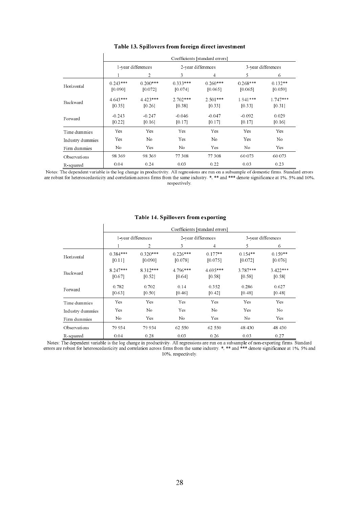|                  |                       | Coefficients [standard errors] |                       |                       |                       |                      |  |  |  |  |
|------------------|-----------------------|--------------------------------|-----------------------|-----------------------|-----------------------|----------------------|--|--|--|--|
|                  |                       | 1-year differences             |                       | 2-year differences    | 3-year differences    |                      |  |  |  |  |
|                  |                       | $\overline{2}$                 | 3                     | 4                     | 5.                    | 6                    |  |  |  |  |
| Horizontal       | $0.243***$<br>[0.090] | $0.200***$<br>[0.072]          | $0.333***$<br>[0.074] | $0.260***$<br>[0.065] | $0.268***$<br>[0.065] | $0.132**$<br>[0.059] |  |  |  |  |
| Backward         | $4.643***$<br>[0.35]  | $4.423***$<br>[0.26]           | $2.702***$<br>[0.38]  | $2.501***$<br>[0.33]  | $1.941***$<br>[0.33]  | $1.747***$<br>[0.31] |  |  |  |  |
| Forward          | $-0.243$<br>[0.22]    | $-0.247$<br>[0.16]             | $-0.046$<br>[0.17]    | $-0.047$<br>[0.17]    | $-0.092$<br>[0.17]    | 0.029<br>[0.16]      |  |  |  |  |
| Time dummies     | Yes                   | Yes                            | Yes                   | <b>Yes</b>            | Yes                   | <b>Yes</b>           |  |  |  |  |
| Industry dummies | Yes                   | No                             | Yes                   | No.                   | Yes                   | No                   |  |  |  |  |
| Firm dummies     | No                    | <b>Yes</b>                     | No.                   | <b>Yes</b>            | No                    | <b>Yes</b>           |  |  |  |  |
| Observations     | 98 3 69               | 98 3 69                        | 77 308                | 77 308                | 60 073                | 60 073               |  |  |  |  |
| R-squared        | 0.04                  | 0.24                           | 0.03                  | 0.22                  | 0.03                  | 0.23                 |  |  |  |  |

#### Table 13. Spillovers from foreign direct investment

Notes: The dependent variable is the log change in productivity. All regressions are run on a subsample of domestic firms. Standard errors are robust for heteroscedasticity and correlation across firms from the same indust respectively.

|                  | Coefficients [standard errors] |                       |                       |                      |                      |                      |  |  |
|------------------|--------------------------------|-----------------------|-----------------------|----------------------|----------------------|----------------------|--|--|
|                  | 1-year differences             |                       |                       | 2-year differences   | 3-year differences   |                      |  |  |
|                  |                                | 2                     | 3                     | 4                    | 5                    | 6                    |  |  |
| Horizontal       | $0.384***$<br>[0.11]           | $0.320***$<br>[0.090] | $0.226***$<br>[0.078] | $0.177**$<br>[0.075] | $0.154**$<br>[0.072] | $0.159**$<br>[0.076] |  |  |
| Backward         | 8.247***<br>[0.67]             | $8.312***$<br>[0.52]  | $4.796***$<br>[0.64]  | $4.695***$<br>[0.58] | $3.787***$<br>[0.58] | $3.422***$<br>[0.58] |  |  |
| Forward          | 0.782<br>[0.63]                | 0.702<br>[0.50]       | 0.14<br>[0.46]        | 0.352<br>[0.42]      | 0.286<br>[0.48]      | 0.627<br>[0.48]      |  |  |
| Time dummies     | Yes                            | Yes                   | Yes                   | <b>Yes</b>           | <b>Yes</b>           | <b>Yes</b>           |  |  |
| Industry dummies | Yes                            | No.                   | Yes                   | No.                  | <b>Yes</b>           | No                   |  |  |
| Firm dummies     | No                             | <b>Yes</b>            | No                    | <b>Yes</b>           | No                   | <b>Yes</b>           |  |  |
| Observations     | 79 934                         | 79 934                | 62 550                | 62 550               | 48 430               | 48 430               |  |  |
| R-squared        | 0.04                           | 0.28                  | 0.03                  | 0.26                 | 0.03                 | 0.27                 |  |  |

#### Table 14. Spillovers from exporting

Notes: The dependent variable is the log change in productivity. All regressions are run on a subsample of non-exporting firms. Standard errors are robust for heteroscedasticity and correlation across firms from the same i 10%, respectively.